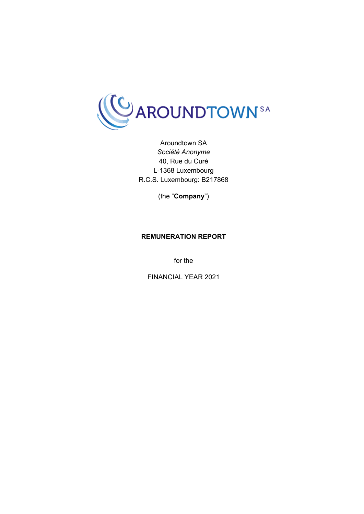

Aroundtown SA *Société Anonyme* 40, Rue du Curé L-1368 Luxembourg R.C.S. Luxembourg: B217868

(the "**Company**")

## **REMUNERATION REPORT**

for the

FINANCIAL YEAR 2021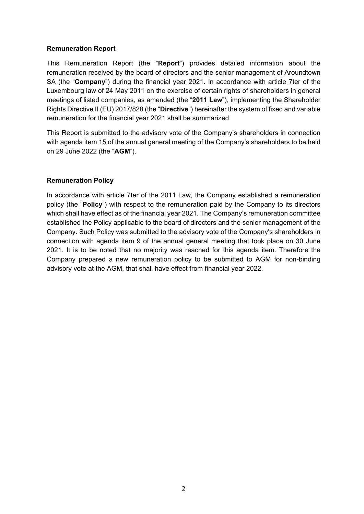### **Remuneration Report**

This Remuneration Report (the "**Report**") provides detailed information about the remuneration received by the board of directors and the senior management of Aroundtown SA (the "**Company**") during the financial year 2021. In accordance with article 7ter of the Luxembourg law of 24 May 2011 on the exercise of certain rights of shareholders in general meetings of listed companies, as amended (the "**2011 Law**"), implementing the Shareholder Rights Directive II (EU) 2017/828 (the "**Directive**") hereinafter the system of fixed and variable remuneration for the financial year 2021 shall be summarized.

This Report is submitted to the advisory vote of the Company's shareholders in connection with agenda item 15 of the annual general meeting of the Company's shareholders to be held on 29 June 2022 (the "**AGM**").

# **Remuneration Policy**

In accordance with article 7ter of the 2011 Law, the Company established a remuneration policy (the "**Policy**") with respect to the remuneration paid by the Company to its directors which shall have effect as of the financial year 2021. The Company's remuneration committee established the Policy applicable to the board of directors and the senior management of the Company. Such Policy was submitted to the advisory vote of the Company's shareholders in connection with agenda item 9 of the annual general meeting that took place on 30 June 2021. It is to be noted that no majority was reached for this agenda item. Therefore the Company prepared a new remuneration policy to be submitted to AGM for non-binding advisory vote at the AGM, that shall have effect from financial year 2022.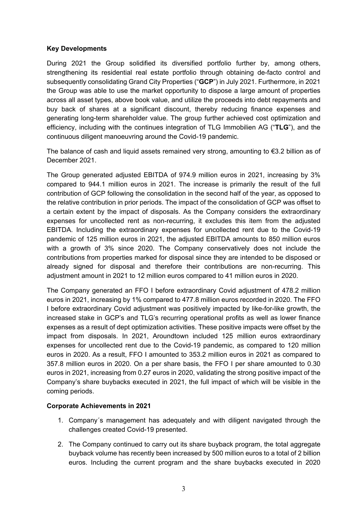### **Key Developments**

During 2021 the Group solidified its diversified portfolio further by, among others, strengthening its residential real estate portfolio through obtaining de-facto control and subsequently consolidating Grand City Properties ("**GCP**") in July 2021. Furthermore, in 2021 the Group was able to use the market opportunity to dispose a large amount of properties across all asset types, above book value, and utilize the proceeds into debt repayments and buy back of shares at a significant discount, thereby reducing finance expenses and generating long-term shareholder value. The group further achieved cost optimization and efficiency, including with the continues integration of TLG Immobilien AG ("**TLG**"), and the continuous diligent manoeuvring around the Covid-19 pandemic.

The balance of cash and liquid assets remained very strong, amounting to €3.2 billion as of December 2021.

The Group generated adjusted EBITDA of 974.9 million euros in 2021, increasing by 3% compared to 944.1 million euros in 2021. The increase is primarily the result of the full contribution of GCP following the consolidation in the second half of the year, as opposed to the relative contribution in prior periods. The impact of the consolidation of GCP was offset to a certain extent by the impact of disposals. As the Company considers the extraordinary expenses for uncollected rent as non-recurring, it excludes this item from the adjusted EBITDA. Including the extraordinary expenses for uncollected rent due to the Covid-19 pandemic of 125 million euros in 2021, the adjusted EBITDA amounts to 850 million euros with a growth of 3% since 2020. The Company conservatively does not include the contributions from properties marked for disposal since they are intended to be disposed or already signed for disposal and therefore their contributions are non-recurring. This adjustment amount in 2021 to 12 million euros compared to 41 million euros in 2020.

The Company generated an FFO I before extraordinary Covid adjustment of 478.2 million euros in 2021, increasing by 1% compared to 477.8 million euros recorded in 2020. The FFO I before extraordinary Covid adjustment was positively impacted by like-for-like growth, the increased stake in GCP's and TLG's recurring operational profits as well as lower finance expenses as a result of dept optimization activities. These positive impacts were offset by the impact from disposals. In 2021, Aroundtown included 125 million euros extraordinary expenses for uncollected rent due to the Covid-19 pandemic, as compared to 120 million euros in 2020. As a result, FFO I amounted to 353.2 million euros in 2021 as compared to 357.8 million euros in 2020. On a per share basis, the FFO I per share amounted to 0.30 euros in 2021, increasing from 0.27 euros in 2020, validating the strong positive impact of the Company's share buybacks executed in 2021, the full impact of which will be visible in the coming periods.

### **Corporate Achievements in 2021**

- 1. Company´s management has adequately and with diligent navigated through the challenges created Covid-19 presented.
- 2. The Company continued to carry out its share buyback program, the total aggregate buyback volume has recently been increased by 500 million euros to a total of 2 billion euros. Including the current program and the share buybacks executed in 2020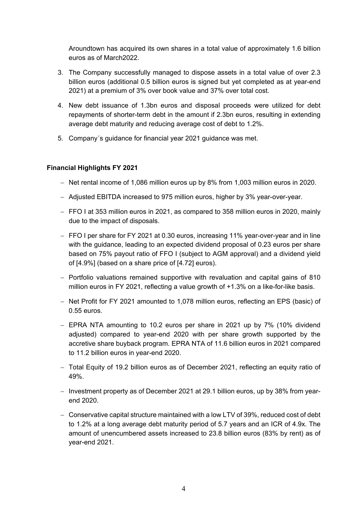Aroundtown has acquired its own shares in a total value of approximately 1.6 billion euros as of March2022.

- 3. The Company successfully managed to dispose assets in a total value of over 2.3 billion euros (additional 0.5 billion euros is signed but yet completed as at year-end 2021) at a premium of 3% over book value and 37% over total cost.
- 4. New debt issuance of 1.3bn euros and disposal proceeds were utilized for debt repayments of shorter-term debt in the amount if 2.3bn euros, resulting in extending average debt maturity and reducing average cost of debt to 1.2%.
- 5. Company´s guidance for financial year 2021 guidance was met.

## **Financial Highlights FY 2021**

- Net rental income of 1,086 million euros up by 8% from 1,003 million euros in 2020.
- Adjusted EBITDA increased to 975 million euros, higher by 3% year-over-year.
- FFO I at 353 million euros in 2021, as compared to 358 million euros in 2020, mainly due to the impact of disposals.
- FFO I per share for FY 2021 at 0.30 euros, increasing 11% year-over-year and in line with the guidance, leading to an expected dividend proposal of 0.23 euros per share based on 75% payout ratio of FFO I (subject to AGM approval) and a dividend yield of [4.9%] (based on a share price of [4.72] euros).
- $-$  Portfolio valuations remained supportive with revaluation and capital gains of 810 million euros in FY 2021, reflecting a value growth of +1.3% on a like-for-like basis.
- Net Profit for FY 2021 amounted to 1,078 million euros, reflecting an EPS (basic) of 0.55 euros.
- EPRA NTA amounting to 10.2 euros per share in 2021 up by 7% (10% dividend adjusted) compared to year-end 2020 with per share growth supported by the accretive share buyback program. EPRA NTA of 11.6 billion euros in 2021 compared to 11.2 billion euros in year-end 2020.
- Total Equity of 19.2 billion euros as of December 2021, reflecting an equity ratio of 49%.
- Investment property as of December 2021 at 29.1 billion euros, up by 38% from yearend 2020.
- Conservative capital structure maintained with a low LTV of 39%, reduced cost of debt to 1.2% at a long average debt maturity period of 5.7 years and an ICR of 4.9x. The amount of unencumbered assets increased to 23.8 billion euros (83% by rent) as of year-end 2021.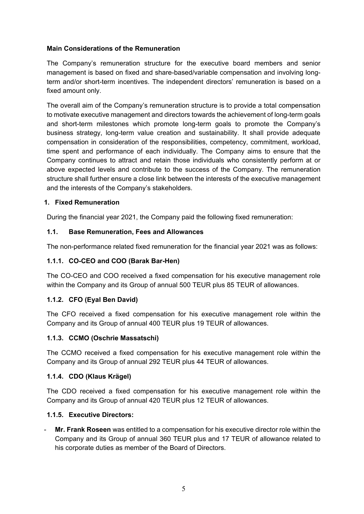# **Main Considerations of the Remuneration**

The Company's remuneration structure for the executive board members and senior management is based on fixed and share-based/variable compensation and involving longterm and/or short-term incentives. The independent directors' remuneration is based on a fixed amount only.

The overall aim of the Company's remuneration structure is to provide a total compensation to motivate executive management and directors towards the achievement of long-term goals and short-term milestones which promote long-term goals to promote the Company's business strategy, long-term value creation and sustainability. It shall provide adequate compensation in consideration of the responsibilities, competency, commitment, workload, time spent and performance of each individually. The Company aims to ensure that the Company continues to attract and retain those individuals who consistently perform at or above expected levels and contribute to the success of the Company. The remuneration structure shall further ensure a close link between the interests of the executive management and the interests of the Company's stakeholders.

## **1. Fixed Remuneration**

During the financial year 2021, the Company paid the following fixed remuneration:

## **1.1. Base Remuneration, Fees and Allowances**

The non-performance related fixed remuneration for the financial year 2021 was as follows:

# **1.1.1. CO-CEO and COO (Barak Bar-Hen)**

The CO-CEO and COO received a fixed compensation for his executive management role within the Company and its Group of annual 500 TEUR plus 85 TEUR of allowances.

### **1.1.2. CFO (Eyal Ben David)**

The CFO received a fixed compensation for his executive management role within the Company and its Group of annual 400 TEUR plus 19 TEUR of allowances.

### **1.1.3. CCMO (Oschrie Massatschi)**

The CCMO received a fixed compensation for his executive management role within the Company and its Group of annual 292 TEUR plus 44 TEUR of allowances.

### **1.1.4. CDO (Klaus Krägel)**

The CDO received a fixed compensation for his executive management role within the Company and its Group of annual 420 TEUR plus 12 TEUR of allowances.

### **1.1.5. Executive Directors:**

- **Mr. Frank Roseen** was entitled to a compensation for his executive director role within the Company and its Group of annual 360 TEUR plus and 17 TEUR of allowance related to his corporate duties as member of the Board of Directors.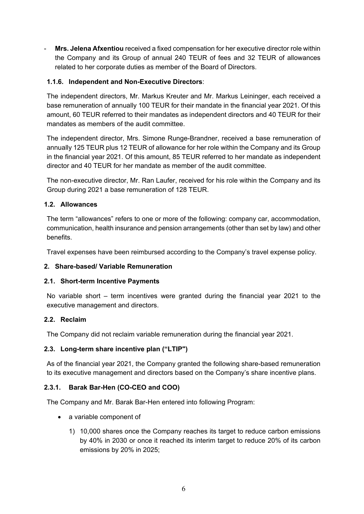- **Mrs. Jelena Afxentiou** received a fixed compensation for her executive director role within the Company and its Group of annual 240 TEUR of fees and 32 TEUR of allowances related to her corporate duties as member of the Board of Directors.

# **1.1.6. Independent and Non-Executive Directors**:

The independent directors, Mr. Markus Kreuter and Mr. Markus Leininger, each received a base remuneration of annually 100 TEUR for their mandate in the financial year 2021. Of this amount, 60 TEUR referred to their mandates as independent directors and 40 TEUR for their mandates as members of the audit committee.

The independent director, Mrs. Simone Runge-Brandner, received a base remuneration of annually 125 TEUR plus 12 TEUR of allowance for her role within the Company and its Group in the financial year 2021. Of this amount, 85 TEUR referred to her mandate as independent director and 40 TEUR for her mandate as member of the audit committee.

The non-executive director, Mr. Ran Laufer, received for his role within the Company and its Group during 2021 a base remuneration of 128 TEUR.

## **1.2. Allowances**

The term "allowances" refers to one or more of the following: company car, accommodation, communication, health insurance and pension arrangements (other than set by law) and other benefits.

Travel expenses have been reimbursed according to the Company's travel expense policy.

# **2. Share-based/ Variable Remuneration**

### **2.1. Short-term Incentive Payments**

No variable short – term incentives were granted during the financial year 2021 to the executive management and directors.

### **2.2. Reclaim**

The Company did not reclaim variable remuneration during the financial year 2021.

### **2.3. Long-term share incentive plan ("LTIP")**

As of the financial year 2021, the Company granted the following share-based remuneration to its executive management and directors based on the Company's share incentive plans.

# **2.3.1. Barak Bar-Hen (CO-CEO and COO)**

The Company and Mr. Barak Bar-Hen entered into following Program:

- a variable component of
	- 1) 10,000 shares once the Company reaches its target to reduce carbon emissions by 40% in 2030 or once it reached its interim target to reduce 20% of its carbon emissions by 20% in 2025;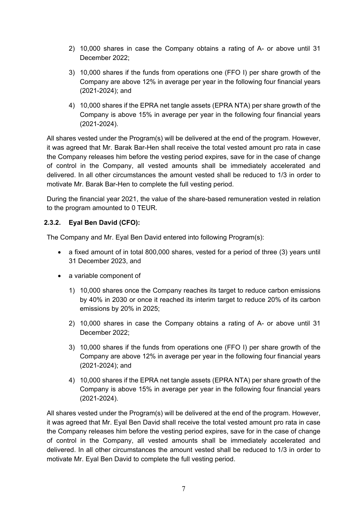- 2) 10,000 shares in case the Company obtains a rating of A- or above until 31 December 2022;
- 3) 10,000 shares if the funds from operations one (FFO I) per share growth of the Company are above 12% in average per year in the following four financial years (2021-2024); and
- 4) 10,000 shares if the EPRA net tangle assets (EPRA NTA) per share growth of the Company is above 15% in average per year in the following four financial years (2021-2024).

All shares vested under the Program(s) will be delivered at the end of the program. However, it was agreed that Mr. Barak Bar-Hen shall receive the total vested amount pro rata in case the Company releases him before the vesting period expires, save for in the case of change of control in the Company, all vested amounts shall be immediately accelerated and delivered. In all other circumstances the amount vested shall be reduced to 1/3 in order to motivate Mr. Barak Bar-Hen to complete the full vesting period.

During the financial year 2021, the value of the share-based remuneration vested in relation to the program amounted to 0 TEUR.

# **2.3.2. Eyal Ben David (CFO):**

The Company and Mr. Eyal Ben David entered into following Program(s):

- a fixed amount of in total 800,000 shares, vested for a period of three (3) years until 31 December 2023, and
- a variable component of
	- 1) 10,000 shares once the Company reaches its target to reduce carbon emissions by 40% in 2030 or once it reached its interim target to reduce 20% of its carbon emissions by 20% in 2025;
	- 2) 10,000 shares in case the Company obtains a rating of A- or above until 31 December 2022;
	- 3) 10,000 shares if the funds from operations one (FFO I) per share growth of the Company are above 12% in average per year in the following four financial years (2021-2024); and
	- 4) 10,000 shares if the EPRA net tangle assets (EPRA NTA) per share growth of the Company is above 15% in average per year in the following four financial years (2021-2024).

All shares vested under the Program(s) will be delivered at the end of the program. However, it was agreed that Mr. Eyal Ben David shall receive the total vested amount pro rata in case the Company releases him before the vesting period expires, save for in the case of change of control in the Company, all vested amounts shall be immediately accelerated and delivered. In all other circumstances the amount vested shall be reduced to 1/3 in order to motivate Mr. Eyal Ben David to complete the full vesting period.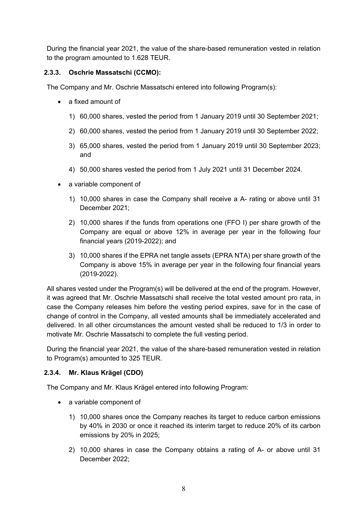During the financial year 2021, the value of the share-based remuneration vested in relation to the program amounted to 1.628 TEUR.

# **2.3.3. Oschrie Massatschi (CCMO):**

The Company and Mr. Oschrie Massatschi entered into following Program(s):

- a fixed amount of
	- 1) 60,000 shares, vested the period from 1 January 2019 until 30 September 2021;
	- 2) 60,000 shares, vested the period from 1 January 2019 until 30 September 2022;
	- 3) 65,000 shares, vested the period from 1 January 2019 until 30 September 2023; and
	- 4) 50,000 shares vested the period from 1 July 2021 until 31 December 2024.
- a variable component of
	- 1) 10,000 shares in case the Company shall receive a A- rating or above until 31 December 2021;
	- 2) 10,000 shares if the funds from operations one (FFO I) per share growth of the Company are equal or above 12% in average per year in the following four financial years (2019-2022); and
	- 3) 10,000 shares if the EPRA net tangle assets (EPRA NTA) per share growth of the Company is above 15% in average per year in the following four financial years (2019-2022).

All shares vested under the Program(s) will be delivered at the end of the program. However, it was agreed that Mr. Oschrie Massatschi shall receive the total vested amount pro rata, in case the Company releases him before the vesting period expires, save for in the case of change of control in the Company, all vested amounts shall be immediately accelerated and delivered. In all other circumstances the amount vested shall be reduced to 1/3 in order to motivate Mr. Oschrie Massatschi to complete the full vesting period.

During the financial year 2021, the value of the share-based remuneration vested in relation to Program(s) amounted to 325 TEUR.

# **2.3.4. Mr. Klaus Krägel (CDO)**

The Company and Mr. Klaus Krägel entered into following Program:

- a variable component of
	- 1) 10,000 shares once the Company reaches its target to reduce carbon emissions by 40% in 2030 or once it reached its interim target to reduce 20% of its carbon emissions by 20% in 2025;
	- 2) 10,000 shares in case the Company obtains a rating of A- or above until 31 December 2022;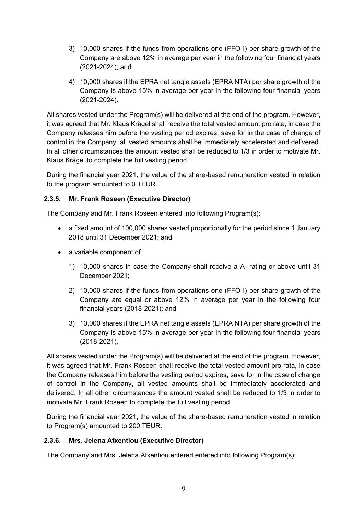- 3) 10,000 shares if the funds from operations one (FFO I) per share growth of the Company are above 12% in average per year in the following four financial years (2021-2024); and
- 4) 10,000 shares if the EPRA net tangle assets (EPRA NTA) per share growth of the Company is above 15% in average per year in the following four financial years (2021-2024).

All shares vested under the Program(s) will be delivered at the end of the program. However, it was agreed that Mr. Klaus Krägel shall receive the total vested amount pro rata, in case the Company releases him before the vesting period expires, save for in the case of change of control in the Company, all vested amounts shall be immediately accelerated and delivered. In all other circumstances the amount vested shall be reduced to 1/3 in order to motivate Mr. Klaus Krägel to complete the full vesting period.

During the financial year 2021, the value of the share-based remuneration vested in relation to the program amounted to 0 TEUR.

# **2.3.5. Mr. Frank Roseen (Executive Director)**

The Company and Mr. Frank Roseen entered into following Program(s):

- a fixed amount of 100,000 shares vested proportionally for the period since 1 January 2018 until 31 December 2021; and
- a variable component of
	- 1) 10,000 shares in case the Company shall receive a A- rating or above until 31 December 2021;
	- 2) 10,000 shares if the funds from operations one (FFO I) per share growth of the Company are equal or above 12% in average per year in the following four financial years (2018-2021); and
	- 3) 10,000 shares if the EPRA net tangle assets (EPRA NTA) per share growth of the Company is above 15% in average per year in the following four financial years (2018-2021).

All shares vested under the Program(s) will be delivered at the end of the program. However, it was agreed that Mr. Frank Roseen shall receive the total vested amount pro rata, in case the Company releases him before the vesting period expires, save for in the case of change of control in the Company, all vested amounts shall be immediately accelerated and delivered. In all other circumstances the amount vested shall be reduced to 1/3 in order to motivate Mr. Frank Roseen to complete the full vesting period.

During the financial year 2021, the value of the share-based remuneration vested in relation to Program(s) amounted to 200 TEUR.

# **2.3.6. Mrs. Jelena Afxentiou (Executive Director)**

The Company and Mrs. Jelena Afxentiou entered entered into following Program(s):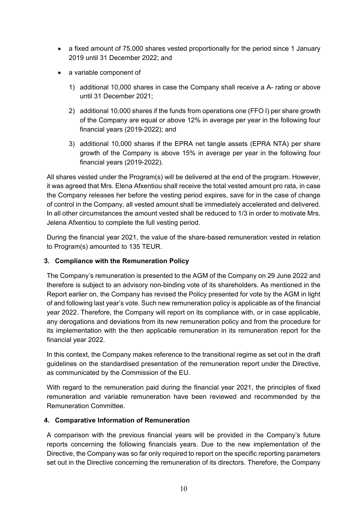- a fixed amount of 75,000 shares vested proportionally for the period since 1 January 2019 until 31 December 2022; and
- a variable component of
	- 1) additional 10,000 shares in case the Company shall receive a A- rating or above until 31 December 2021;
	- 2) additional 10,000 shares if the funds from operations one (FFO I) per share growth of the Company are equal or above 12% in average per year in the following four financial years (2019-2022); and
	- 3) additional 10,000 shares if the EPRA net tangle assets (EPRA NTA) per share growth of the Company is above 15% in average per year in the following four financial years (2019-2022).

All shares vested under the Program(s) will be delivered at the end of the program. However, it was agreed that Mrs. Elena Afxentiou shall receive the total vested amount pro rata, in case the Company releases her before the vesting period expires, save for in the case of change of control in the Company, all vested amount shall be immediately accelerated and delivered. In all other circumstances the amount vested shall be reduced to 1/3 in order to motivate Mrs. Jelena Afxentiou to complete the full vesting period.

During the financial year 2021, the value of the share-based remuneration vested in relation to Program(s) amounted to 135 TEUR.

# **3. Compliance with the Remuneration Policy**

The Company's remuneration is presented to the AGM of the Company on 29 June 2022 and therefore is subject to an advisory non-binding vote of its shareholders. As mentioned in the Report earlier on, the Company has revised the Policy presented for vote by the AGM in light of and following last year's vote. Such new remuneration policy is applicable as of the financial year 2022. Therefore, the Company will report on its compliance with, or in case applicable, any derogations and deviations from its new remuneration policy and from the procedure for its implementation with the then applicable remuneration in its remuneration report for the financial year 2022.

In this context, the Company makes reference to the transitional regime as set out in the draft guidelines on the standardised presentation of the remuneration report under the Directive, as communicated by the Commission of the EU.

With regard to the remuneration paid during the financial year 2021, the principles of fixed remuneration and variable remuneration have been reviewed and recommended by the Remuneration Committee.

# **4. Comparative Information of Remuneration**

A comparison with the previous financial years will be provided in the Company's future reports concerning the following financials years. Due to the new implementation of the Directive, the Company was so far only required to report on the specific reporting parameters set out in the Directive concerning the remuneration of its directors. Therefore, the Company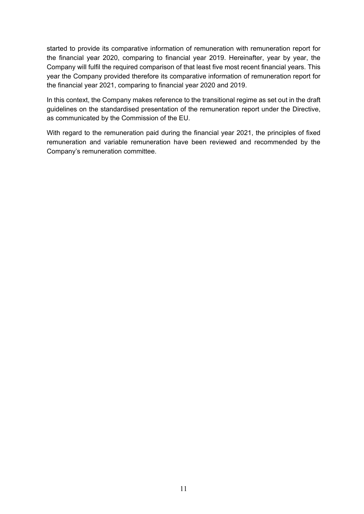started to provide its comparative information of remuneration with remuneration report for the financial year 2020, comparing to financial year 2019. Hereinafter, year by year, the Company will fulfil the required comparison of that least five most recent financial years. This year the Company provided therefore its comparative information of remuneration report for the financial year 2021, comparing to financial year 2020 and 2019.

In this context, the Company makes reference to the transitional regime as set out in the draft guidelines on the standardised presentation of the remuneration report under the Directive, as communicated by the Commission of the EU.

With regard to the remuneration paid during the financial year 2021, the principles of fixed remuneration and variable remuneration have been reviewed and recommended by the Company's remuneration committee.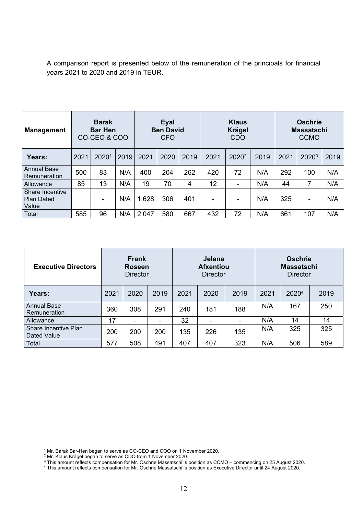A comparison report is presented below of the remuneration of the principals for financial years 2021 to 2020 and 2019 in TEUR.

| <b>Management</b>                             | <b>Barak</b><br><b>Bar Hen</b><br>CO-CEO & COO |       | Eyal<br><b>Ben David</b><br>CFO |       |      | <b>Klaus</b><br><b>Krägel</b><br><b>CDO</b> |      |                   | <b>Oschrie</b><br><b>Massatschi</b><br><b>CCMO</b> |      |       |      |
|-----------------------------------------------|------------------------------------------------|-------|---------------------------------|-------|------|---------------------------------------------|------|-------------------|----------------------------------------------------|------|-------|------|
| Years:                                        | 2021                                           | 20201 | 2019                            | 2021  | 2020 | 2019                                        | 2021 | 2020 <sup>2</sup> | 2019                                               | 2021 | 20203 | 2019 |
| <b>Annual Base</b><br>Remuneration            | 500                                            | 83    | N/A                             | 400   | 204  | 262                                         | 420  | 72                | N/A                                                | 292  | 100   | N/A  |
| Allowance                                     | 85                                             | 13    | N/A                             | 19    | 70   | 4                                           | 12   |                   | N/A                                                | 44   |       | N/A  |
| Share Incentive<br><b>Plan Dated</b><br>Value |                                                |       | N/A                             | 1.628 | 306  | 401                                         | ۰    |                   | N/A                                                | 325  | -     | N/A  |
| Total                                         | 585                                            | 96    | N/A                             | 2.047 | 580  | 667                                         | 432  | 72                | N/A                                                | 661  | 107   | N/A  |

| <b>Executive Directors</b>          |      | <b>Frank</b><br><b>Roseen</b><br><b>Director</b> |      |      | Jelena<br><b>Afxentiou</b><br><b>Director</b> |      | <b>Oschrie</b><br><b>Massatschi</b><br>Director |                   |      |  |
|-------------------------------------|------|--------------------------------------------------|------|------|-----------------------------------------------|------|-------------------------------------------------|-------------------|------|--|
| Years:                              | 2021 | 2020                                             | 2019 | 2021 | 2020                                          | 2019 | 2021                                            | 2020 <sup>4</sup> | 2019 |  |
| <b>Annual Base</b><br>Remuneration  | 360  | 308                                              | 291  | 240  | 181                                           | 188  | N/A                                             | 167               | 250  |  |
| Allowance                           | 17   |                                                  |      | 32   |                                               | ۰    | N/A                                             | 14                | 14   |  |
| Share Incentive Plan<br>Dated Value | 200  | 200                                              | 200  | 135  | 226                                           | 135  | N/A                                             | 325               | 325  |  |
| Total                               | 577  | 508                                              | 491  | 407  | 407                                           | 323  | N/A                                             | 506               | 589  |  |

<sup>&</sup>lt;sup>1</sup> Mr. Barak Bar-Hen began to serve as CO-CEO and COO on 1 November 2020.<br><sup>2</sup> Mr. Klaus Krägel began to serve as CDO from 1 November 2020.

<sup>&</sup>lt;sup>3</sup> This amount reflects compensation for Mr. Oschrie Massatschi' s position as CCMO – commencing on 25 August 2020.<br><sup>4</sup> This amount reflects compensation for Mr. Oschrie Massatschi' s position as Executive Director until